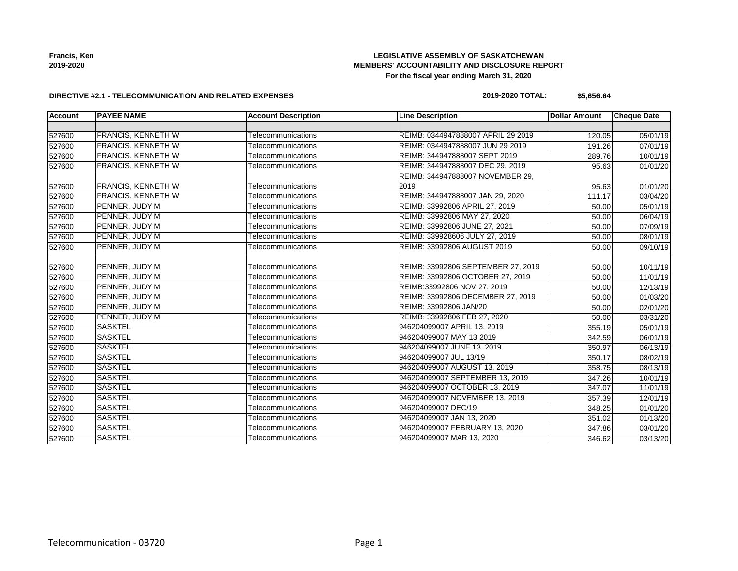## **LEGISLATIVE ASSEMBLY OF SASKATCHEWAN MEMBERS' ACCOUNTABILITY AND DISCLOSURE REPORT For the fiscal year ending March 31, 2020**

#### **DIRECTIVE #2.1 - TELECOMMUNICATION AND RELATED EXPENSES**

## **2019-2020 TOTAL: \$5,656.64**

| Account | <b>PAYEE NAME</b>         | <b>Account Description</b> | <b>Line Description</b>            | <b>Dollar Amount</b> | <b>Cheque Date</b> |
|---------|---------------------------|----------------------------|------------------------------------|----------------------|--------------------|
|         |                           |                            |                                    |                      |                    |
| 527600  | <b>FRANCIS, KENNETH W</b> | Telecommunications         | REIMB: 0344947888007 APRIL 29 2019 | 120.05               | 05/01/19           |
| 527600  | <b>FRANCIS, KENNETH W</b> | Telecommunications         | REIMB: 0344947888007 JUN 29 2019   | 191.26               | 07/01/19           |
| 527600  | <b>FRANCIS, KENNETH W</b> | Telecommunications         | REIMB: 344947888007 SEPT 2019      | 289.76               | 10/01/19           |
| 527600  | <b>FRANCIS, KENNETH W</b> | Telecommunications         | REIMB: 344947888007 DEC 29, 2019   | 95.63                | 01/01/20           |
|         |                           |                            | REIMB: 344947888007 NOVEMBER 29,   |                      |                    |
| 527600  | <b>FRANCIS, KENNETH W</b> | Telecommunications         | 2019                               | 95.63                | 01/01/20           |
| 527600  | <b>FRANCIS, KENNETH W</b> | Telecommunications         | REIMB: 344947888007 JAN 29, 2020   | 111.17               | 03/04/20           |
| 527600  | PENNER, JUDY M            | Telecommunications         | REIMB: 33992806 APRIL 27, 2019     | 50.00                | 05/01/19           |
| 527600  | PENNER, JUDY M            | Telecommunications         | REIMB: 33992806 MAY 27, 2020       | 50.00                | 06/04/19           |
| 527600  | PENNER, JUDY M            | Telecommunications         | REIMB: 33992806 JUNE 27, 2021      | 50.00                | 07/09/19           |
| 527600  | PENNER, JUDY M            | Telecommunications         | REIMB: 339928606 JULY 27, 2019     | 50.00                | 08/01/19           |
| 527600  | PENNER, JUDY M            | Telecommunications         | REIMB: 33992806 AUGUST 2019        | 50.00                | 09/10/19           |
|         |                           |                            |                                    |                      |                    |
| 527600  | PENNER, JUDY M            | Telecommunications         | REIMB: 33992806 SEPTEMBER 27, 2019 | 50.00                | 10/11/19           |
| 527600  | PENNER, JUDY M            | Telecommunications         | REIMB: 33992806 OCTOBER 27, 2019   | 50.00                | 11/01/19           |
| 527600  | PENNER, JUDY M            | Telecommunications         | REIMB:33992806 NOV 27, 2019        | 50.00                | 12/13/19           |
| 527600  | PENNER, JUDY M            | Telecommunications         | REIMB: 33992806 DECEMBER 27, 2019  | 50.00                | 01/03/20           |
| 527600  | PENNER, JUDY M            | Telecommunications         | REIMB: 33992806 JAN/20             | 50.00                | 02/01/20           |
| 527600  | PENNER, JUDY M            | Telecommunications         | REIMB: 33992806 FEB 27, 2020       | 50.00                | 03/31/20           |
| 527600  | <b>SASKTEL</b>            | Telecommunications         | 946204099007 APRIL 13, 2019        | 355.19               | 05/01/19           |
| 527600  | <b>SASKTEL</b>            | Telecommunications         | 946204099007 MAY 13 2019           | 342.59               | 06/01/19           |
| 527600  | <b>SASKTEL</b>            | Telecommunications         | 946204099007 JUNE 13, 2019         | 350.97               | 06/13/19           |
| 527600  | <b>SASKTEL</b>            | Telecommunications         | 946204099007 JUL 13/19             | 350.17               | 08/02/19           |
| 527600  | <b>SASKTEL</b>            | Telecommunications         | 946204099007 AUGUST 13, 2019       | 358.75               | 08/13/19           |
| 527600  | <b>SASKTEL</b>            | Telecommunications         | 946204099007 SEPTEMBER 13, 2019    | 347.26               | 10/01/19           |
| 527600  | <b>SASKTEL</b>            | Telecommunications         | 946204099007 OCTOBER 13, 2019      | 347.07               | 11/01/19           |
| 527600  | <b>SASKTEL</b>            | Telecommunications         | 946204099007 NOVEMBER 13, 2019     | 357.39               | 12/01/19           |
| 527600  | <b>SASKTEL</b>            | Telecommunications         | 946204099007 DEC/19                | 348.25               | 01/01/20           |
| 527600  | <b>SASKTEL</b>            | Telecommunications         | 946204099007 JAN 13, 2020          | 351.02               | 01/13/20           |
| 527600  | <b>SASKTEL</b>            | Telecommunications         | 946204099007 FEBRUARY 13, 2020     | 347.86               | 03/01/20           |
| 527600  | <b>SASKTEL</b>            | Telecommunications         | 946204099007 MAR 13, 2020          | 346.62               | 03/13/20           |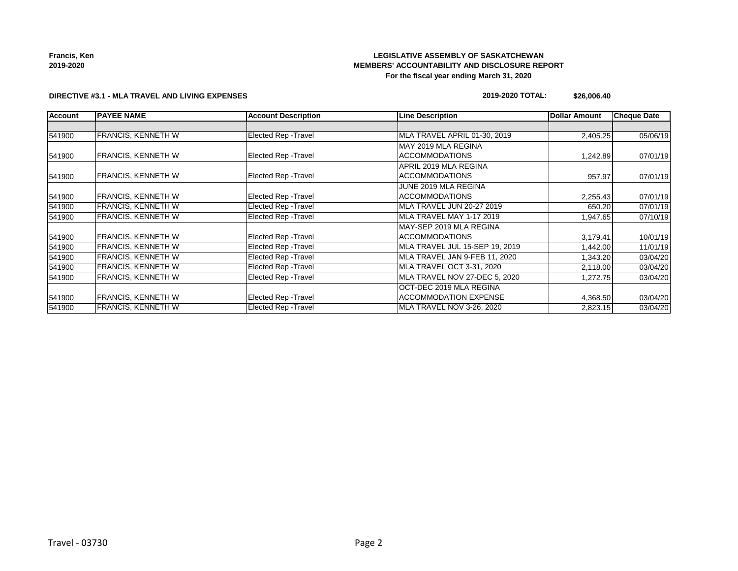## **LEGISLATIVE ASSEMBLY OF SASKATCHEWAN MEMBERS' ACCOUNTABILITY AND DISCLOSURE REPORT For the fiscal year ending March 31, 2020**

#### **DIRECTIVE #3.1 - MLA TRAVEL AND LIVING EXPENSES**

#### **2019-2020 TOTAL: \$26,006.40**

| <b>Account</b> | <b>PAYEE NAME</b>         | <b>Account Description</b>  | <b>Line Description</b>        | <b>Dollar Amount</b> | <b>Cheque Date</b> |
|----------------|---------------------------|-----------------------------|--------------------------------|----------------------|--------------------|
|                |                           |                             |                                |                      |                    |
| 541900         | <b>FRANCIS, KENNETH W</b> | Elected Rep - Travel        | MLA TRAVEL APRIL 01-30, 2019   | 2,405.25             | 05/06/19           |
|                |                           |                             | MAY 2019 MLA REGINA            |                      |                    |
| 541900         | <b>FRANCIS, KENNETH W</b> | <b>Elected Rep - Travel</b> | <b>ACCOMMODATIONS</b>          | 1,242.89             | 07/01/19           |
|                |                           |                             | APRIL 2019 MLA REGINA          |                      |                    |
| 541900         | <b>FRANCIS, KENNETH W</b> | <b>Elected Rep - Travel</b> | <b>ACCOMMODATIONS</b>          | 957.97               | 07/01/19           |
|                |                           |                             | JUNE 2019 MLA REGINA           |                      |                    |
| 541900         | <b>FRANCIS, KENNETH W</b> | <b>Elected Rep - Travel</b> | <b>ACCOMMODATIONS</b>          | 2,255.43             | 07/01/19           |
| 541900         | <b>FRANCIS, KENNETH W</b> | Elected Rep - Travel        | MLA TRAVEL JUN 20-27 2019      | 650.20               | 07/01/19           |
| 541900         | <b>FRANCIS, KENNETH W</b> | Elected Rep - Travel        | MLA TRAVEL MAY 1-17 2019       | 1,947.65             | 07/10/19           |
|                |                           |                             | MAY-SEP 2019 MLA REGINA        |                      |                    |
| 541900         | <b>FRANCIS, KENNETH W</b> | Elected Rep - Travel        | <b>ACCOMMODATIONS</b>          | 3,179.41             | 10/01/19           |
| 541900         | <b>FRANCIS, KENNETH W</b> | <b>Elected Rep - Travel</b> | MLA TRAVEL JUL 15-SEP 19, 2019 | 1,442.00             | 11/01/19           |
| 541900         | <b>FRANCIS, KENNETH W</b> | Elected Rep - Travel        | MLA TRAVEL JAN 9-FEB 11, 2020  | 1,343.20             | 03/04/20           |
| 541900         | <b>FRANCIS, KENNETH W</b> | Elected Rep - Travel        | MLA TRAVEL OCT 3-31, 2020      | 2,118.00             | 03/04/20           |
| 541900         | <b>FRANCIS, KENNETH W</b> | Elected Rep - Travel        | MLA TRAVEL NOV 27-DEC 5, 2020  | 1,272.75             | 03/04/20           |
|                |                           |                             | OCT-DEC 2019 MLA REGINA        |                      |                    |
| 541900         | <b>FRANCIS, KENNETH W</b> | <b>Elected Rep - Travel</b> | <b>ACCOMMODATION EXPENSE</b>   | 4,368.50             | 03/04/20           |
| 541900         | <b>FRANCIS, KENNETH W</b> | Elected Rep - Travel        | MLA TRAVEL NOV 3-26, 2020      | 2,823.15             | 03/04/20           |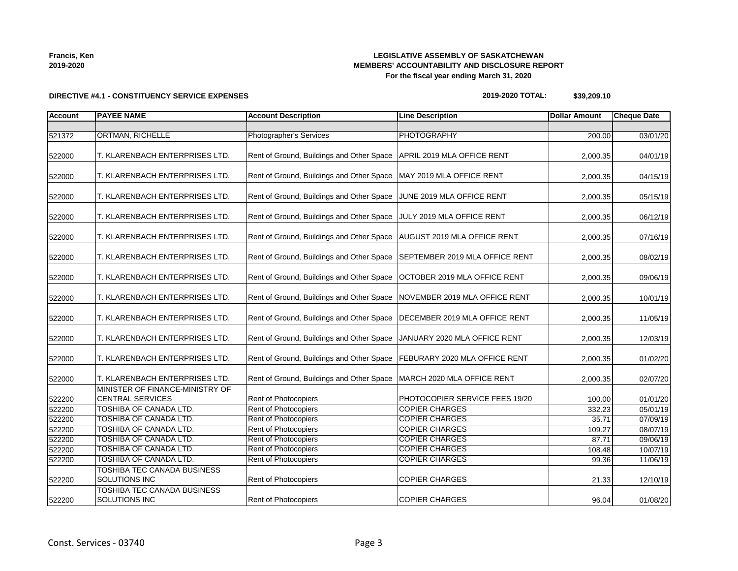## **LEGISLATIVE ASSEMBLY OF SASKATCHEWAN MEMBERS' ACCOUNTABILITY AND DISCLOSURE REPORT For the fiscal year ending March 31, 2020**

**2019-2020 TOTAL: \$39,209.10**

| <b>Account</b> | <b>PAYEE NAME</b>                                          | <b>Account Description</b>                                                | <b>Line Description</b>        | <b>Dollar Amount</b> | <b>Cheque Date</b> |
|----------------|------------------------------------------------------------|---------------------------------------------------------------------------|--------------------------------|----------------------|--------------------|
|                |                                                            |                                                                           |                                |                      |                    |
| 521372         | <b>ORTMAN, RICHELLE</b>                                    | <b>Photographer's Services</b>                                            | <b>PHOTOGRAPHY</b>             | 200.00               | 03/01/20           |
| 522000         | T. KLARENBACH ENTERPRISES LTD.                             | Rent of Ground, Buildings and Other Space   APRIL 2019 MLA OFFICE RENT    |                                | 2,000.35             | 04/01/19           |
| 522000         | T. KLARENBACH ENTERPRISES LTD.                             | Rent of Ground, Buildings and Other Space                                 | MAY 2019 MLA OFFICE RENT       | 2,000.35             | 04/15/19           |
| 522000         | T. KLARENBACH ENTERPRISES LTD.                             | Rent of Ground, Buildings and Other Space                                 | JUNE 2019 MLA OFFICE RENT      | 2,000.35             | 05/15/19           |
| 522000         | T. KLARENBACH ENTERPRISES LTD.                             | Rent of Ground, Buildings and Other Space                                 | JULY 2019 MLA OFFICE RENT      | 2,000.35             | 06/12/19           |
| 522000         | T. KLARENBACH ENTERPRISES LTD.                             | Rent of Ground, Buildings and Other Space   AUGUST 2019 MLA OFFICE RENT   |                                | 2,000.35             | 07/16/19           |
| 522000         | T. KLARENBACH ENTERPRISES LTD.                             | Rent of Ground, Buildings and Other Space                                 | SEPTEMBER 2019 MLA OFFICE RENT | 2,000.35             | 08/02/19           |
| 522000         | T. KLARENBACH ENTERPRISES LTD.                             | Rent of Ground, Buildings and Other Space                                 | OCTOBER 2019 MLA OFFICE RENT   | 2,000.35             | 09/06/19           |
| 522000         | T. KLARENBACH ENTERPRISES LTD.                             | Rent of Ground, Buildings and Other Space                                 | NOVEMBER 2019 MLA OFFICE RENT  | 2,000.35             | 10/01/19           |
| 522000         | T. KLARENBACH ENTERPRISES LTD.                             | Rent of Ground, Buildings and Other Space   DECEMBER 2019 MLA OFFICE RENT |                                | 2,000.35             | 11/05/19           |
| 522000         | T. KLARENBACH ENTERPRISES LTD.                             | Rent of Ground, Buildings and Other Space   JANUARY 2020 MLA OFFICE RENT  |                                | 2,000.35             | 12/03/19           |
| 522000         | T. KLARENBACH ENTERPRISES LTD.                             | Rent of Ground, Buildings and Other Space   FEBURARY 2020 MLA OFFICE RENT |                                | 2,000.35             | 01/02/20           |
| 522000         | T. KLARENBACH ENTERPRISES LTD.                             | Rent of Ground, Buildings and Other Space                                 | MARCH 2020 MLA OFFICE RENT     | 2,000.35             | 02/07/20           |
| 522200         | MINISTER OF FINANCE-MINISTRY OF<br><b>CENTRAL SERVICES</b> | Rent of Photocopiers                                                      | PHOTOCOPIER SERVICE FEES 19/20 | 100.00               | 01/01/20           |
| 522200         | <b>TOSHIBA OF CANADA LTD.</b>                              | Rent of Photocopiers                                                      | <b>COPIER CHARGES</b>          | 332.23               | 05/01/19           |
| 522200         | TOSHIBA OF CANADA LTD.                                     | Rent of Photocopiers                                                      | <b>COPIER CHARGES</b>          | 35.71                | 07/09/19           |
| 522200         | TOSHIBA OF CANADA LTD.                                     | Rent of Photocopiers                                                      | <b>COPIER CHARGES</b>          | 109.27               | 08/07/19           |
| 522200         | TOSHIBA OF CANADA LTD.                                     | Rent of Photocopiers                                                      | <b>COPIER CHARGES</b>          | 87.71                | 09/06/19           |
| 522200         | TOSHIBA OF CANADA LTD.                                     | Rent of Photocopiers                                                      | <b>COPIER CHARGES</b>          | 108.48               | 10/07/19           |
| 522200         | <b>TOSHIBA OF CANADA LTD.</b>                              | Rent of Photocopiers                                                      | <b>COPIER CHARGES</b>          | 99.36                | 11/06/19           |
| 522200         | TOSHIBA TEC CANADA BUSINESS<br>SOLUTIONS INC               | <b>Rent of Photocopiers</b>                                               | <b>COPIER CHARGES</b>          | 21.33                | 12/10/19           |
| 522200         | TOSHIBA TEC CANADA BUSINESS<br>SOLUTIONS INC               | <b>Rent of Photocopiers</b>                                               | <b>COPIER CHARGES</b>          | 96.04                | 01/08/20           |

## **DIRECTIVE #4.1 - CONSTITUENCY SERVICE EXPENSES**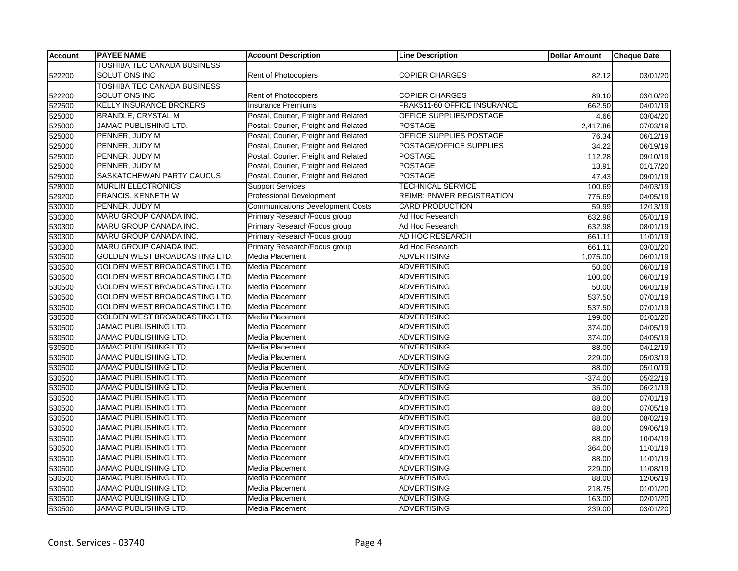| <b>Account</b> | <b>PAYEE NAME</b>                    | <b>Account Description</b>              | <b>Line Description</b>          | <b>Dollar Amount</b> | <b>Cheque Date</b> |
|----------------|--------------------------------------|-----------------------------------------|----------------------------------|----------------------|--------------------|
|                | <b>TOSHIBA TEC CANADA BUSINESS</b>   |                                         |                                  |                      |                    |
| 522200         | SOLUTIONS INC                        | Rent of Photocopiers                    | <b>COPIER CHARGES</b>            | 82.12                | 03/01/20           |
|                | TOSHIBA TEC CANADA BUSINESS          |                                         |                                  |                      |                    |
| 522200         | <b>SOLUTIONS INC</b>                 | Rent of Photocopiers                    | <b>COPIER CHARGES</b>            | 89.10                | 03/10/20           |
| 522500         | <b>KELLY INSURANCE BROKERS</b>       | <b>Insurance Premiums</b>               | FRAK511-60 OFFICE INSURANCE      | 662.50               | 04/01/19           |
| 525000         | <b>BRANDLE, CRYSTAL M</b>            | Postal, Courier, Freight and Related    | <b>OFFICE SUPPLIES/POSTAGE</b>   | 4.66                 | 03/04/20           |
| 525000         | JAMAC PUBLISHING LTD.                | Postal, Courier, Freight and Related    | <b>POSTAGE</b>                   | 2,417.86             | 07/03/19           |
| 525000         | PENNER, JUDY M                       | Postal, Courier, Freight and Related    | OFFICE SUPPLIES POSTAGE          | 76.34                | 06/12/19           |
| 525000         | PENNER, JUDY M                       | Postal, Courier, Freight and Related    | POSTAGE/OFFICE SUPPLIES          | 34.22                | 06/19/19           |
| 525000         | PENNER, JUDY M                       | Postal, Courier, Freight and Related    | <b>POSTAGE</b>                   | 112.28               | 09/10/19           |
| 525000         | PENNER, JUDY M                       | Postal, Courier, Freight and Related    | <b>POSTAGE</b>                   | 13.91                | 01/17/20           |
| 525000         | SASKATCHEWAN PARTY CAUCUS            | Postal, Courier, Freight and Related    | <b>POSTAGE</b>                   | 47.43                | 09/01/19           |
| 528000         | <b>MURLIN ELECTRONICS</b>            | <b>Support Services</b>                 | <b>TECHNICAL SERVICE</b>         | 100.69               | 04/03/19           |
| 529200         | <b>FRANCIS, KENNETH W</b>            | <b>Professional Development</b>         | <b>REIMB: PNWER REGISTRATION</b> | 775.69               | 04/05/19           |
| 530000         | PENNER, JUDY M                       | <b>Communications Development Costs</b> | <b>CARD PRODUCTION</b>           | 59.99                | 12/13/19           |
| 530300         | MARU GROUP CANADA INC.               | Primary Research/Focus group            | Ad Hoc Research                  | 632.98               | 05/01/19           |
| 530300         | MARU GROUP CANADA INC.               | Primary Research/Focus group            | Ad Hoc Research                  | 632.98               | 08/01/19           |
| 530300         | MARU GROUP CANADA INC.               | Primary Research/Focus group            | AD HOC RESEARCH                  | 661.11               | 11/01/19           |
| 530300         | MARU GROUP CANADA INC.               | Primary Research/Focus group            | Ad Hoc Research                  | 661.11               | 03/01/20           |
| 530500         | GOLDEN WEST BROADCASTING LTD.        | Media Placement                         | <b>ADVERTISING</b>               | 1,075.00             | 06/01/19           |
| 530500         | GOLDEN WEST BROADCASTING LTD.        | <b>Media Placement</b>                  | <b>ADVERTISING</b>               | 50.00                | 06/01/19           |
| 530500         | GOLDEN WEST BROADCASTING LTD.        | Media Placement                         | <b>ADVERTISING</b>               | 100.00               | 06/01/19           |
| 530500         | <b>GOLDEN WEST BROADCASTING LTD.</b> | <b>Media Placement</b>                  | <b>ADVERTISING</b>               | 50.00                | 06/01/19           |
| 530500         | GOLDEN WEST BROADCASTING LTD.        | Media Placement                         | ADVERTISING                      | 537.50               | 07/01/19           |
| 530500         | GOLDEN WEST BROADCASTING LTD.        | Media Placement                         | <b>ADVERTISING</b>               | 537.50               | 07/01/19           |
| 530500         | GOLDEN WEST BROADCASTING LTD.        | Media Placement                         | <b>ADVERTISING</b>               | 199.00               | 01/01/20           |
| 530500         | JAMAC PUBLISHING LTD.                | <b>Media Placement</b>                  | <b>ADVERTISING</b>               | 374.00               | 04/05/19           |
| 530500         | JAMAC PUBLISHING LTD.                | Media Placement                         | <b>ADVERTISING</b>               | 374.00               | 04/05/19           |
| 530500         | JAMAC PUBLISHING LTD.                | Media Placement                         | <b>ADVERTISING</b>               | 88.00                | 04/12/19           |
| 530500         | JAMAC PUBLISHING LTD.                | <b>Media Placement</b>                  | <b>ADVERTISING</b>               | 229.00               | 05/03/19           |
| 530500         | JAMAC PUBLISHING LTD.                | Media Placement                         | <b>ADVERTISING</b>               | 88.00                | 05/10/19           |
| 530500         | <b>JAMAC PUBLISHING LTD.</b>         | <b>Media Placement</b>                  | <b>ADVERTISING</b>               | $-374.00$            | 05/22/19           |
| 530500         | JAMAC PUBLISHING LTD.                | <b>Media Placement</b>                  | <b>ADVERTISING</b>               | 35.00                | 06/21/19           |
| 530500         | JAMAC PUBLISHING LTD.                | Media Placement                         | <b>ADVERTISING</b>               | 88.00                | 07/01/19           |
| 530500         | JAMAC PUBLISHING LTD.                | Media Placement                         | <b>ADVERTISING</b>               | 88.00                | 07/05/19           |
| 530500         | JAMAC PUBLISHING LTD.                | Media Placement                         | <b>ADVERTISING</b>               | 88.00                | 08/02/19           |
| 530500         | JAMAC PUBLISHING LTD.                | <b>Media Placement</b>                  | <b>ADVERTISING</b>               | 88.00                | 09/06/19           |
| 530500         | <b>JAMAC PUBLISHING LTD.</b>         | Media Placement                         | <b>ADVERTISING</b>               | 88.00                | 10/04/19           |
| 530500         | JAMAC PUBLISHING LTD.                | Media Placement                         | <b>ADVERTISING</b>               | 364.00               | 11/01/19           |
| 530500         | JAMAC PUBLISHING LTD.                | Media Placement                         | <b>ADVERTISING</b>               | 88.00                | 11/01/19           |
| 530500         | JAMAC PUBLISHING LTD.                | Media Placement                         | <b>ADVERTISING</b>               | 229.00               | 11/08/19           |
| 530500         | <b>JAMAC PUBLISHING LTD.</b>         | <b>Media Placement</b>                  | <b>ADVERTISING</b>               | 88.00                | 12/06/19           |
| 530500         | <b>JAMAC PUBLISHING LTD.</b>         | Media Placement                         | <b>ADVERTISING</b>               | 218.75               | 01/01/20           |
| 530500         | <b>JAMAC PUBLISHING LTD.</b>         | Media Placement                         | <b>ADVERTISING</b>               | 163.00               | 02/01/20           |
| 530500         | <b>JAMAC PUBLISHING LTD.</b>         | <b>Media Placement</b>                  | <b>ADVERTISING</b>               | 239.00               | 03/01/20           |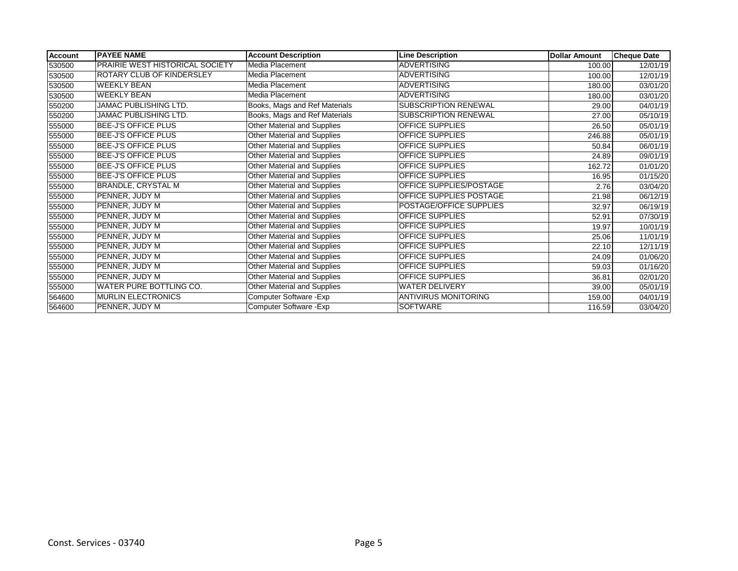| <b>Account</b> | <b>PAYEE NAME</b>                      | <b>Account Description</b>         | <b>Line Description</b>     | <b>Dollar Amount</b> | <b>Cheque Date</b> |
|----------------|----------------------------------------|------------------------------------|-----------------------------|----------------------|--------------------|
| 530500         | <b>PRAIRIE WEST HISTORICAL SOCIETY</b> | Media Placement                    | <b>ADVERTISING</b>          | 100.00               | 12/01/19           |
| 530500         | <b>ROTARY CLUB OF KINDERSLEY</b>       | Media Placement                    | <b>ADVERTISING</b>          | 100.00               | 12/01/19           |
| 530500         | <b>WEEKLY BEAN</b>                     | Media Placement                    | <b>ADVERTISING</b>          | 180.00               | 03/01/20           |
| 530500         | <b>WEEKLY BEAN</b>                     | Media Placement                    | <b>ADVERTISING</b>          | 180.00               | 03/01/20           |
| 550200         | JAMAC PUBLISHING LTD.                  | Books, Mags and Ref Materials      | <b>SUBSCRIPTION RENEWAL</b> | 29.00                | 04/01/19           |
| 550200         | JAMAC PUBLISHING LTD.                  | Books, Mags and Ref Materials      | SUBSCRIPTION RENEWAL        | 27.00                | 05/10/19           |
| 555000         | <b>BEE-J'S OFFICE PLUS</b>             | <b>Other Material and Supplies</b> | <b>OFFICE SUPPLIES</b>      | 26.50                | 05/01/19           |
| 555000         | <b>BEE-J'S OFFICE PLUS</b>             | Other Material and Supplies        | <b>OFFICE SUPPLIES</b>      | 246.88               | 05/01/19           |
| 555000         | <b>BEE-J'S OFFICE PLUS</b>             | Other Material and Supplies        | <b>OFFICE SUPPLIES</b>      | 50.84                | 06/01/19           |
| 555000         | <b>BEE-J'S OFFICE PLUS</b>             | <b>Other Material and Supplies</b> | OFFICE SUPPLIES             | 24.89                | 09/01/19           |
| 555000         | <b>BEE-J'S OFFICE PLUS</b>             | Other Material and Supplies        | OFFICE SUPPLIES             | 162.72               | 01/01/20           |
| 555000         | <b>BEE-J'S OFFICE PLUS</b>             | Other Material and Supplies        | <b>OFFICE SUPPLIES</b>      | 16.95                | 01/15/20           |
| 555000         | <b>BRANDLE, CRYSTAL M</b>              | <b>Other Material and Supplies</b> | OFFICE SUPPLIES/POSTAGE     | 2.76                 | 03/04/20           |
| 555000         | PENNER, JUDY M                         | Other Material and Supplies        | OFFICE SUPPLIES POSTAGE     | 21.98                | 06/12/19           |
| 555000         | PENNER, JUDY M                         | Other Material and Supplies        | POSTAGE/OFFICE SUPPLIES     | 32.97                | 06/19/19           |
| 555000         | PENNER, JUDY M                         | Other Material and Supplies        | OFFICE SUPPLIES             | 52.91                | 07/30/19           |
| 555000         | PENNER, JUDY M                         | <b>Other Material and Supplies</b> | OFFICE SUPPLIES             | 19.97                | 10/01/19           |
| 555000         | PENNER, JUDY M                         | Other Material and Supplies        | <b>OFFICE SUPPLIES</b>      | 25.06                | 11/01/19           |
| 555000         | PENNER, JUDY M                         | Other Material and Supplies        | <b>OFFICE SUPPLIES</b>      | 22.10                | 12/11/19           |
| 555000         | PENNER, JUDY M                         | Other Material and Supplies        | <b>OFFICE SUPPLIES</b>      | 24.09                | 01/06/20           |
| 555000         | PENNER, JUDY M                         | Other Material and Supplies        | <b>OFFICE SUPPLIES</b>      | 59.03                | 01/16/20           |
| 555000         | PENNER, JUDY M                         | Other Material and Supplies        | <b>OFFICE SUPPLIES</b>      | 36.81                | 02/01/20           |
| 555000         | <b>WATER PURE BOTTLING CO.</b>         | Other Material and Supplies        | <b>WATER DELIVERY</b>       | 39.00                | 05/01/19           |
| 564600         | <b>MURLIN ELECTRONICS</b>              | Computer Software - Exp            | <b>ANTIVIRUS MONITORING</b> | 159.00               | 04/01/19           |
| 564600         | PENNER, JUDY M                         | Computer Software - Exp            | <b>SOFTWARE</b>             | 116.59               | 03/04/20           |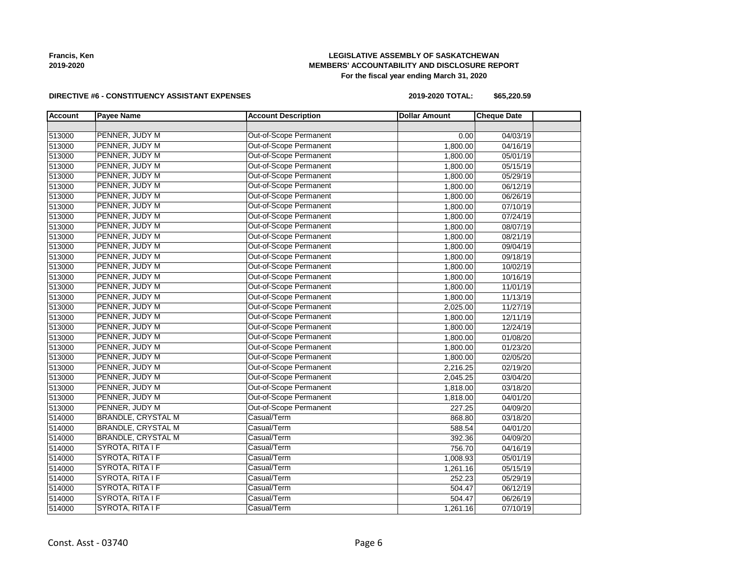## **LEGISLATIVE ASSEMBLY OF SASKATCHEWAN MEMBERS' ACCOUNTABILITY AND DISCLOSURE REPORT For the fiscal year ending March 31, 2020**

#### **DIRECTIVE #6 - CONSTITUENCY ASSISTANT EXPENSES**

**2019-2020 TOTAL: \$65,220.59**

| <b>Account</b> | <b>Payee Name</b>         | <b>Account Description</b>    | <b>Dollar Amount</b> | <b>Cheque Date</b> |  |
|----------------|---------------------------|-------------------------------|----------------------|--------------------|--|
|                |                           |                               |                      |                    |  |
| 513000         | PENNER, JUDY M            | <b>Out-of-Scope Permanent</b> | 0.00                 | 04/03/19           |  |
| 513000         | PENNER, JUDY M            | Out-of-Scope Permanent        | 1,800.00             | 04/16/19           |  |
| 513000         | PENNER, JUDY M            | Out-of-Scope Permanent        | 1,800.00             | 05/01/19           |  |
| 513000         | PENNER, JUDY M            | Out-of-Scope Permanent        | 1,800.00             | 05/15/19           |  |
| 513000         | PENNER, JUDY M            | Out-of-Scope Permanent        | 1,800.00             | 05/29/19           |  |
| 513000         | PENNER, JUDY M            | Out-of-Scope Permanent        | 1,800.00             | 06/12/19           |  |
| 513000         | PENNER, JUDY M            | Out-of-Scope Permanent        | 1,800.00             | 06/26/19           |  |
| 513000         | PENNER, JUDY M            | Out-of-Scope Permanent        | 1,800.00             | 07/10/19           |  |
| 513000         | PENNER, JUDY M            | Out-of-Scope Permanent        | 1,800.00             | 07/24/19           |  |
| 513000         | PENNER, JUDY M            | Out-of-Scope Permanent        | 1,800.00             | 08/07/19           |  |
| 513000         | PENNER, JUDY M            | Out-of-Scope Permanent        | 1,800.00             | 08/21/19           |  |
| 513000         | PENNER, JUDY M            | Out-of-Scope Permanent        | 1,800.00             | 09/04/19           |  |
| 513000         | PENNER, JUDY M            | Out-of-Scope Permanent        | 1,800.00             | 09/18/19           |  |
| 513000         | PENNER, JUDY M            | Out-of-Scope Permanent        | 1,800.00             | 10/02/19           |  |
| 513000         | PENNER, JUDY M            | Out-of-Scope Permanent        | 1,800.00             | 10/16/19           |  |
| 513000         | PENNER, JUDY M            | Out-of-Scope Permanent        | 1,800.00             | 11/01/19           |  |
| 513000         | PENNER, JUDY M            | Out-of-Scope Permanent        | 1,800.00             | 11/13/19           |  |
| 513000         | PENNER, JUDY M            | Out-of-Scope Permanent        | 2,025.00             | 11/27/19           |  |
| 513000         | PENNER, JUDY M            | Out-of-Scope Permanent        | 1,800.00             | 12/11/19           |  |
| 513000         | PENNER, JUDY M            | Out-of-Scope Permanent        | 1,800.00             | 12/24/19           |  |
| 513000         | PENNER, JUDY M            | Out-of-Scope Permanent        | 1,800.00             | 01/08/20           |  |
| 513000         | PENNER, JUDY M            | Out-of-Scope Permanent        | 1,800.00             | 01/23/20           |  |
| 513000         | PENNER, JUDY M            | Out-of-Scope Permanent        | 1,800.00             | 02/05/20           |  |
| 513000         | PENNER, JUDY M            | Out-of-Scope Permanent        | 2,216.25             | 02/19/20           |  |
| 513000         | PENNER, JUDY M            | Out-of-Scope Permanent        | 2,045.25             | 03/04/20           |  |
| 513000         | PENNER, JUDY M            | Out-of-Scope Permanent        | 1,818.00             | 03/18/20           |  |
| 513000         | PENNER, JUDY M            | Out-of-Scope Permanent        | 1,818.00             | 04/01/20           |  |
| 513000         | PENNER, JUDY M            | Out-of-Scope Permanent        | 227.25               | 04/09/20           |  |
| 514000         | <b>BRANDLE, CRYSTAL M</b> | Casual/Term                   | 868.80               | 03/18/20           |  |
| 514000         | <b>BRANDLE, CRYSTAL M</b> | Casual/Term                   | 588.54               | 04/01/20           |  |
| 514000         | <b>BRANDLE, CRYSTAL M</b> | Casual/Term                   | 392.36               | 04/09/20           |  |
| 514000         | SYROTA, RITA I F          | Casual/Term                   | 756.70               | 04/16/19           |  |
| 514000         | SYROTA, RITA I F          | Casual/Term                   | 1,008.93             | 05/01/19           |  |
| 514000         | SYROTA, RITA I F          | Casual/Term                   | 1,261.16             | 05/15/19           |  |
| 514000         | SYROTA, RITA I F          | Casual/Term                   | 252.23               | 05/29/19           |  |
| 514000         | SYROTA, RITA I F          | Casual/Term                   | 504.47               | 06/12/19           |  |
| 514000         | SYROTA, RITA I F          | Casual/Term                   | 504.47               | 06/26/19           |  |
| 514000         | SYROTA, RITA I F          | Casual/Term                   | 1,261.16             | 07/10/19           |  |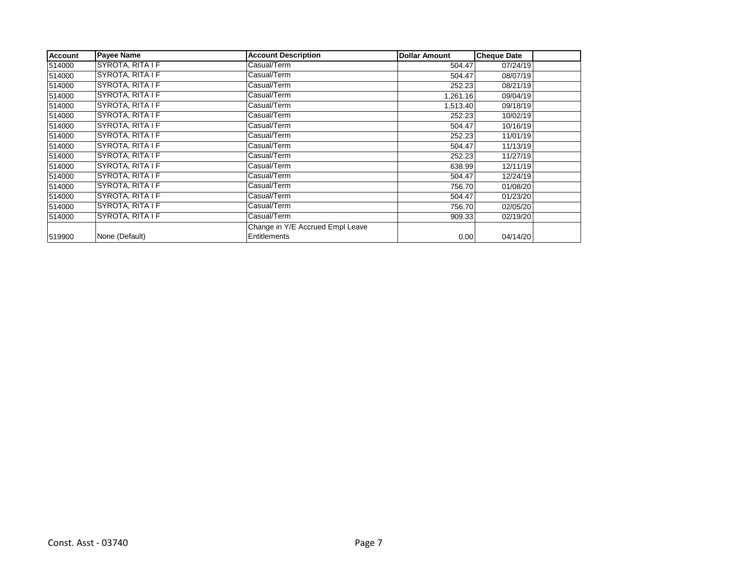| <b>Account</b> | <b>Payee Name</b> | <b>Account Description</b>       | <b>Dollar Amount</b> | <b>Cheque Date</b> |  |
|----------------|-------------------|----------------------------------|----------------------|--------------------|--|
| 514000         | SYROTA, RITA I F  | Casual/Term                      | 504.47               | 07/24/19           |  |
| 514000         | SYROTA, RITA I F  | Casual/Term                      | 504.47               | 08/07/19           |  |
| 514000         | SYROTA, RITA I F  | Casual/Term                      | 252.23               | 08/21/19           |  |
| 514000         | SYROTA, RITA I F  | Casual/Term                      | 1,261.16             | 09/04/19           |  |
| 514000         | SYROTA, RITA I F  | Casual/Term                      | 1,513.40             | 09/18/19           |  |
| 514000         | SYROTA, RITA I F  | Casual/Term                      | 252.23               | 10/02/19           |  |
| 514000         | SYROTA, RITA I F  | Casual/Term                      | 504.47               | 10/16/19           |  |
| 514000         | SYROTA, RITA I F  | Casual/Term                      | 252.23               | 11/01/19           |  |
| 514000         | SYROTA, RITA I F  | Casual/Term                      | 504.47               | 11/13/19           |  |
| 514000         | SYROTA, RITA I F  | Casual/Term                      | 252.23               | 11/27/19           |  |
| 514000         | SYROTA, RITA I F  | Casual/Term                      | 638.99               | 12/11/19           |  |
| 514000         | SYROTA, RITA I F  | Casual/Term                      | 504.47               | 12/24/19           |  |
| 514000         | SYROTA, RITA I F  | Casual/Term                      | 756.70               | 01/08/20           |  |
| 514000         | SYROTA, RITA I F  | Casual/Term                      | 504.47               | 01/23/20           |  |
| 514000         | SYROTA, RITA I F  | Casual/Term                      | 756.70               | 02/05/20           |  |
| 514000         | SYROTA, RITA I F  | Casual/Term                      | 909.33               | 02/19/20           |  |
|                |                   | Change in Y/E Accrued Empl Leave |                      |                    |  |
| 519900         | None (Default)    | Entitlements                     | 0.00                 | 04/14/20           |  |